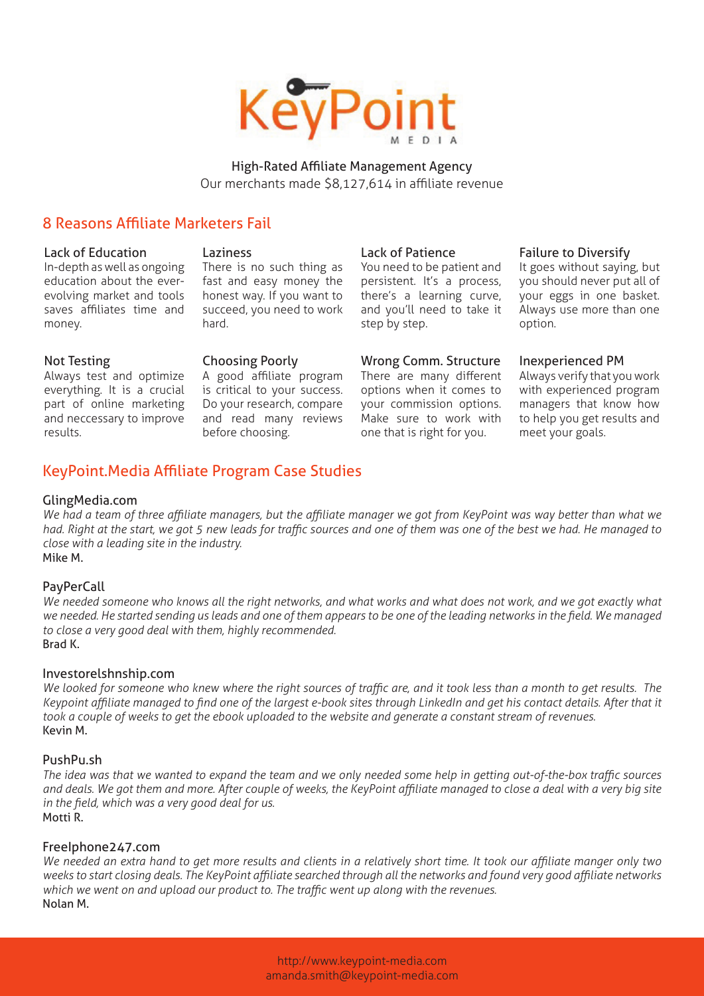

High-Rated Affiliate Management Agency Our merchants made \$8,127,614 in affiliate revenue

# 8 Reasons Affiliate Marketers Fail

#### Lack of Education

In-depth as well as ongoing education about the everevolving market and tools saves affiliates time and money.

**Laziness** 

There is no such thing as fast and easy money the honest way. If you want to succeed, you need to work hard.

### Not Testing

Always test and optimize everything. It is a crucial part of online marketing and neccessary to improve results.

Choosing Poorly

A good affiliate program is critical to your success. Do your research, compare and read many reviews before choosing.

#### Lack of Patience

You need to be patient and persistent. It's a process, there's a learning curve, and you'll need to take it step by step.

## Wrong Comm. Structure

There are many different options when it comes to your commission options. Make sure to work with one that is right for you.

#### Failure to Diversify

It goes without saying, but you should never put all of your eggs in one basket. Always use more than one option.

### Inexperienced PM

Always verify that you work with experienced program managers that know how to help you get results and meet your goals.

# KeyPoint.Media Affiliate Program Case Studies

#### GlingMedia.com

*We had a team of three affiliate managers, but the affiliate manager we got from KeyPoint was way better than what we had. Right at the start, we got 5 new leads for traffic sources and one of them was one of the best we had. He managed to close with a leading site in the industry.* Mike M.

### **PayPerCall**

*We needed someone who knows all the right networks, and what works and what does not work, and we got exactly what we needed. He started sending us leads and one of them appears to be one of the leading networks in the field. We managed to close a very good deal with them, highly recommended.* Brad K.

#### Investorelshnship.com

*We looked for someone who knew where the right sources of traffic are, and it took less than a month to get results. The Keypoint affiliate managed to find one of the largest e-book sites through LinkedIn and get his contact details. After that it took a couple of weeks to get the ebook uploaded to the website and generate a constant stream of revenues.* Kevin M.

### PushPu.sh

*The idea was that we wanted to expand the team and we only needed some help in getting out-of-the-box traffic sources and deals. We got them and more. After couple of weeks, the KeyPoint affiliate managed to close a deal with a very big site in the field, which was a very good deal for us.* Motti R.

### FreeIphone247.com

*We needed an extra hand to get more results and clients in a relatively short time. It took our affiliate manger only two weeks to start closing deals. The KeyPoint affiliate searched through all the networks and found very good affiliate networks which we went on and upload our product to. The traffic went up along with the revenues.* Nolan M.